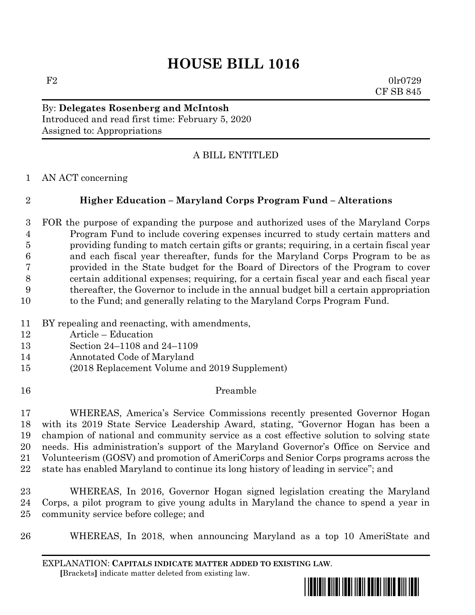# **HOUSE BILL 1016**

 $F2$  0lr0729 CF SB 845

By: **Delegates Rosenberg and McIntosh** Introduced and read first time: February 5, 2020 Assigned to: Appropriations

## A BILL ENTITLED

AN ACT concerning

# **Higher Education – Maryland Corps Program Fund – Alterations**

 FOR the purpose of expanding the purpose and authorized uses of the Maryland Corps Program Fund to include covering expenses incurred to study certain matters and providing funding to match certain gifts or grants; requiring, in a certain fiscal year and each fiscal year thereafter, funds for the Maryland Corps Program to be as provided in the State budget for the Board of Directors of the Program to cover certain additional expenses; requiring, for a certain fiscal year and each fiscal year thereafter, the Governor to include in the annual budget bill a certain appropriation to the Fund; and generally relating to the Maryland Corps Program Fund.

- BY repealing and reenacting, with amendments,
- Article Education
- Section 24–1108 and 24–1109
- Annotated Code of Maryland
- (2018 Replacement Volume and 2019 Supplement)
- Preamble

 WHEREAS, America's Service Commissions recently presented Governor Hogan with its 2019 State Service Leadership Award, stating, "Governor Hogan has been a champion of national and community service as a cost effective solution to solving state needs. His administration's support of the Maryland Governor's Office on Service and Volunteerism (GOSV) and promotion of AmeriCorps and Senior Corps programs across the state has enabled Maryland to continue its long history of leading in service"; and

 WHEREAS, In 2016, Governor Hogan signed legislation creating the Maryland Corps, a pilot program to give young adults in Maryland the chance to spend a year in community service before college; and

WHEREAS, In 2018, when announcing Maryland as a top 10 AmeriState and

EXPLANATION: **CAPITALS INDICATE MATTER ADDED TO EXISTING LAW**.  **[**Brackets**]** indicate matter deleted from existing law.

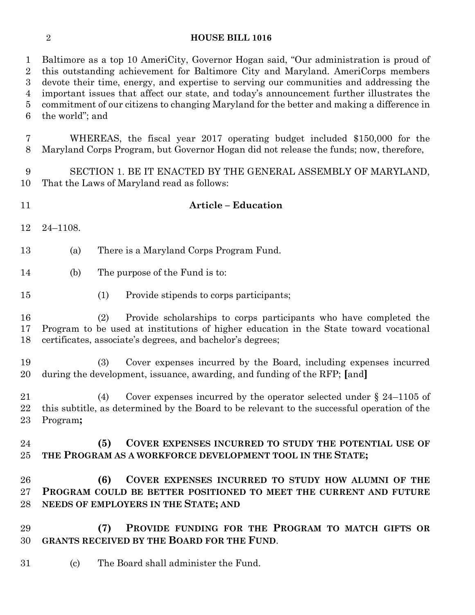#### **HOUSE BILL 1016**

 Baltimore as a top 10 AmeriCity, Governor Hogan said, "Our administration is proud of this outstanding achievement for Baltimore City and Maryland. AmeriCorps members devote their time, energy, and expertise to serving our communities and addressing the important issues that affect our state, and today's announcement further illustrates the commitment of our citizens to changing Maryland for the better and making a difference in the world"; and

 WHEREAS, the fiscal year 2017 operating budget included \$150,000 for the Maryland Corps Program, but Governor Hogan did not release the funds; now, therefore,

 SECTION 1. BE IT ENACTED BY THE GENERAL ASSEMBLY OF MARYLAND, That the Laws of Maryland read as follows:

- **Article – Education**  24–1108. (a) There is a Maryland Corps Program Fund. (b) The purpose of the Fund is to:
	- (1) Provide stipends to corps participants;

 (2) Provide scholarships to corps participants who have completed the Program to be used at institutions of higher education in the State toward vocational certificates, associate's degrees, and bachelor's degrees;

 (3) Cover expenses incurred by the Board, including expenses incurred during the development, issuance, awarding, and funding of the RFP; **[**and**]**

 (4) Cover expenses incurred by the operator selected under § 24–1105 of this subtitle, as determined by the Board to be relevant to the successful operation of the Program**;**

 **(5) COVER EXPENSES INCURRED TO STUDY THE POTENTIAL USE OF THE PROGRAM AS A WORKFORCE DEVELOPMENT TOOL IN THE STATE;**

## **(6) COVER EXPENSES INCURRED TO STUDY HOW ALUMNI OF THE PROGRAM COULD BE BETTER POSITIONED TO MEET THE CURRENT AND FUTURE NEEDS OF EMPLOYERS IN THE STATE; AND**

 **(7) PROVIDE FUNDING FOR THE PROGRAM TO MATCH GIFTS OR GRANTS RECEIVED BY THE BOARD FOR THE FUND**.

(c) The Board shall administer the Fund.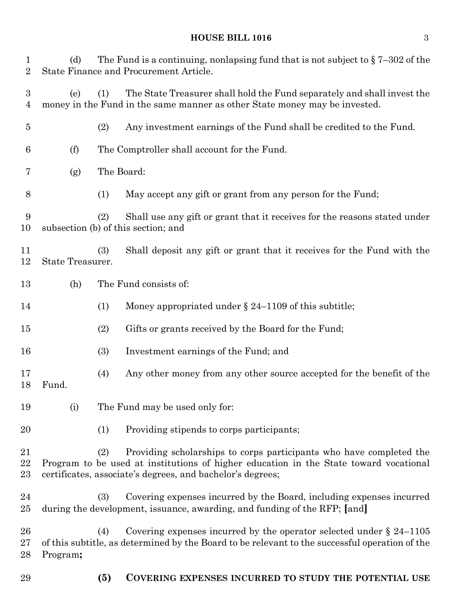#### **HOUSE BILL 1016** 3

1 (d) The Fund is a continuing, nonlapsing fund that is not subject to  $\S 7-302$  of the State Finance and Procurement Article. (e) (1) The State Treasurer shall hold the Fund separately and shall invest the money in the Fund in the same manner as other State money may be invested. (2) Any investment earnings of the Fund shall be credited to the Fund. (f) The Comptroller shall account for the Fund. (g) The Board: (1) May accept any gift or grant from any person for the Fund; (2) Shall use any gift or grant that it receives for the reasons stated under subsection (b) of this section; and (3) Shall deposit any gift or grant that it receives for the Fund with the State Treasurer. (h) The Fund consists of: (1) Money appropriated under § 24–1109 of this subtitle; (2) Gifts or grants received by the Board for the Fund; (3) Investment earnings of the Fund; and (4) Any other money from any other source accepted for the benefit of the Fund. (i) The Fund may be used only for: (1) Providing stipends to corps participants; (2) Providing scholarships to corps participants who have completed the Program to be used at institutions of higher education in the State toward vocational certificates, associate's degrees, and bachelor's degrees; (3) Covering expenses incurred by the Board, including expenses incurred during the development, issuance, awarding, and funding of the RFP; **[**and**]** (4) Covering expenses incurred by the operator selected under § 24–1105 of this subtitle, as determined by the Board to be relevant to the successful operation of the Program**; (5) COVERING EXPENSES INCURRED TO STUDY THE POTENTIAL USE**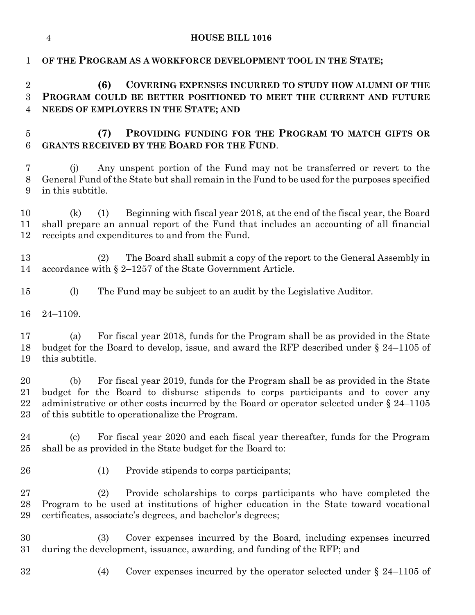|                                           | $\overline{4}$                                                                                                                                                                                                                                                                                                          | <b>HOUSE BILL 1016</b>                                                                                                                                                                                                          |
|-------------------------------------------|-------------------------------------------------------------------------------------------------------------------------------------------------------------------------------------------------------------------------------------------------------------------------------------------------------------------------|---------------------------------------------------------------------------------------------------------------------------------------------------------------------------------------------------------------------------------|
| $\mathbf 1$                               | OF THE PROGRAM AS A WORKFORCE DEVELOPMENT TOOL IN THE STATE;                                                                                                                                                                                                                                                            |                                                                                                                                                                                                                                 |
| $\boldsymbol{2}$<br>$\boldsymbol{3}$<br>4 |                                                                                                                                                                                                                                                                                                                         | COVERING EXPENSES INCURRED TO STUDY HOW ALUMNI OF THE<br>(6)<br>PROGRAM COULD BE BETTER POSITIONED TO MEET THE CURRENT AND FUTURE<br>NEEDS OF EMPLOYERS IN THE STATE; AND                                                       |
| $\overline{5}$<br>6                       |                                                                                                                                                                                                                                                                                                                         | PROVIDING FUNDING FOR THE PROGRAM TO MATCH GIFTS OR<br>(7)<br><b>GRANTS RECEIVED BY THE BOARD FOR THE FUND.</b>                                                                                                                 |
| 7<br>8<br>9                               | (i)<br>in this subtitle.                                                                                                                                                                                                                                                                                                | Any unspent portion of the Fund may not be transferred or revert to the<br>General Fund of the State but shall remain in the Fund to be used for the purposes specified                                                         |
| 10<br>11<br>12                            | (k)                                                                                                                                                                                                                                                                                                                     | Beginning with fiscal year 2018, at the end of the fiscal year, the Board<br>(1)<br>shall prepare an annual report of the Fund that includes an accounting of all financial<br>receipts and expenditures to and from the Fund.  |
| 13<br>14                                  |                                                                                                                                                                                                                                                                                                                         | The Board shall submit a copy of the report to the General Assembly in<br>(2)<br>accordance with $\S 2-1257$ of the State Government Article.                                                                                   |
| 15                                        | (1)                                                                                                                                                                                                                                                                                                                     | The Fund may be subject to an audit by the Legislative Auditor.                                                                                                                                                                 |
| 16                                        | $24 - 1109.$                                                                                                                                                                                                                                                                                                            |                                                                                                                                                                                                                                 |
| 17<br>18<br>19                            | (a)<br>this subtitle.                                                                                                                                                                                                                                                                                                   | For fiscal year 2018, funds for the Program shall be as provided in the State<br>budget for the Board to develop, issue, and award the RFP described under $\S$ 24–1105 of                                                      |
| 20<br>21<br>$\bf{22}$<br>23               | (b) For fiscal year 2019, funds for the Program shall be as provided in the State<br>budget for the Board to disburse stipends to corps participants and to cover any<br>administrative or other costs incurred by the Board or operator selected under $\S 24-1105$<br>of this subtitle to operationalize the Program. |                                                                                                                                                                                                                                 |
| 24<br>25                                  | $\left( \mathrm{c}\right)$                                                                                                                                                                                                                                                                                              | For fiscal year 2020 and each fiscal year thereafter, funds for the Program<br>shall be as provided in the State budget for the Board to:                                                                                       |
| 26                                        |                                                                                                                                                                                                                                                                                                                         | (1)<br>Provide stipends to corps participants;                                                                                                                                                                                  |
| 27<br>28<br>29                            |                                                                                                                                                                                                                                                                                                                         | Provide scholarships to corps participants who have completed the<br>(2)<br>Program to be used at institutions of higher education in the State toward vocational<br>certificates, associate's degrees, and bachelor's degrees; |
| 30<br>31                                  |                                                                                                                                                                                                                                                                                                                         | Cover expenses incurred by the Board, including expenses incurred<br>(3)<br>during the development, issuance, awarding, and funding of the RFP; and                                                                             |
| 32                                        |                                                                                                                                                                                                                                                                                                                         | Cover expenses incurred by the operator selected under $\S$ 24–1105 of<br>(4)                                                                                                                                                   |